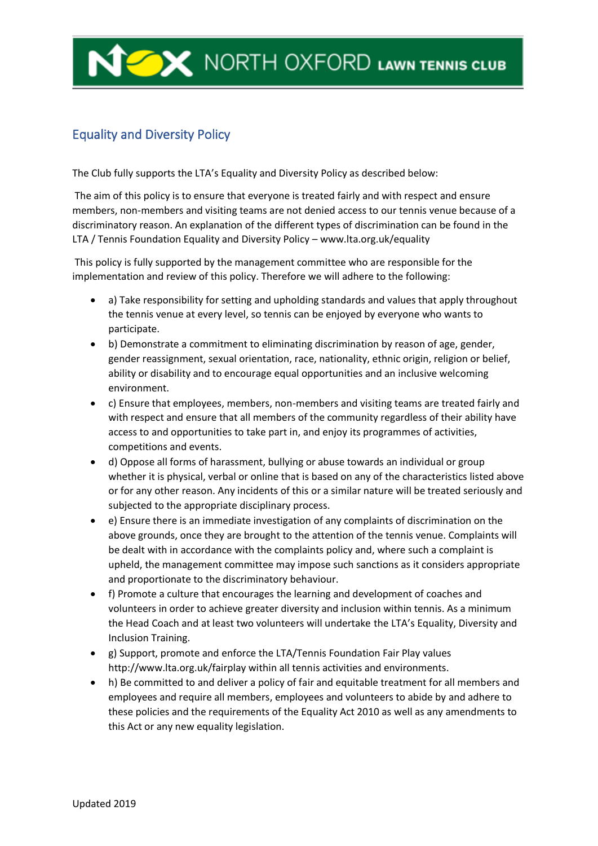## **WE ARE NORTH OXFORD LAWN TENNIS CLUB**

## Equality and Diversity Policy

The Club fully supports the LTA's Equality and Diversity Policy as described below:

The aim of this policy is to ensure that everyone is treated fairly and with respect and ensure members, non-members and visiting teams are not denied access to our tennis venue because of a discriminatory reason. An explanation of the different types of discrimination can be found in the LTA / Tennis Foundation Equality and Diversity Policy – www.lta.org.uk/equality

This policy is fully supported by the management committee who are responsible for the implementation and review of this policy. Therefore we will adhere to the following:

- a) Take responsibility for setting and upholding standards and values that apply throughout the tennis venue at every level, so tennis can be enjoyed by everyone who wants to participate.
- b) Demonstrate a commitment to eliminating discrimination by reason of age, gender, gender reassignment, sexual orientation, race, nationality, ethnic origin, religion or belief, ability or disability and to encourage equal opportunities and an inclusive welcoming environment.
- c) Ensure that employees, members, non-members and visiting teams are treated fairly and with respect and ensure that all members of the community regardless of their ability have access to and opportunities to take part in, and enjoy its programmes of activities, competitions and events.
- d) Oppose all forms of harassment, bullying or abuse towards an individual or group whether it is physical, verbal or online that is based on any of the characteristics listed above or for any other reason. Any incidents of this or a similar nature will be treated seriously and subjected to the appropriate disciplinary process.
- e) Ensure there is an immediate investigation of any complaints of discrimination on the above grounds, once they are brought to the attention of the tennis venue. Complaints will be dealt with in accordance with the complaints policy and, where such a complaint is upheld, the management committee may impose such sanctions as it considers appropriate and proportionate to the discriminatory behaviour.
- f) Promote a culture that encourages the learning and development of coaches and volunteers in order to achieve greater diversity and inclusion within tennis. As a minimum the Head Coach and at least two volunteers will undertake the LTA's Equality, Diversity and Inclusion Training.
- g) Support, promote and enforce the LTA/Tennis Foundation Fair Play values http://www.lta.org.uk/fairplay within all tennis activities and environments.
- h) Be committed to and deliver a policy of fair and equitable treatment for all members and employees and require all members, employees and volunteers to abide by and adhere to these policies and the requirements of the Equality Act 2010 as well as any amendments to this Act or any new equality legislation.